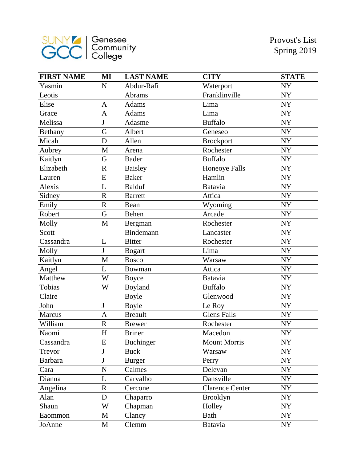

| <b>FIRST NAME</b> | MI                      | <b>LAST NAME</b> | <b>CITY</b>            | <b>STATE</b> |
|-------------------|-------------------------|------------------|------------------------|--------------|
| Yasmin            | $\mathbf N$             | Abdur-Rafi       | Waterport              | <b>NY</b>    |
| Leotis            |                         | Abrams           | Franklinville          | <b>NY</b>    |
| Elise             | A                       | Adams            | Lima                   | <b>NY</b>    |
| Grace             | A                       | Adams            | Lima                   | <b>NY</b>    |
| Melissa           | J                       | Adasme           | <b>Buffalo</b>         | <b>NY</b>    |
| Bethany           | G                       | Albert           | Geneseo                | <b>NY</b>    |
| Micah             | D                       | Allen            | <b>Brockport</b>       | <b>NY</b>    |
| Aubrey            | M                       | Arena            | Rochester              | <b>NY</b>    |
| Kaitlyn           | G                       | <b>Bader</b>     | <b>Buffalo</b>         | <b>NY</b>    |
| Elizabeth         | $\overline{\mathrm{R}}$ | <b>Baisley</b>   | <b>Honeoye Falls</b>   | <b>NY</b>    |
| Lauren            | E                       | <b>Baker</b>     | Hamlin                 | <b>NY</b>    |
| Alexis            | L                       | <b>Balduf</b>    | Batavia                | <b>NY</b>    |
| Sidney            | $\mathbf R$             | <b>Barrett</b>   | Attica                 | <b>NY</b>    |
| Emily             | $\overline{\mathrm{R}}$ | Bean             | Wyoming                | <b>NY</b>    |
| Robert            | G                       | Behen            | Arcade                 | <b>NY</b>    |
| Molly             | M                       | Bergman          | Rochester              | <b>NY</b>    |
| Scott             |                         | Bindemann        | Lancaster              | <b>NY</b>    |
| Cassandra         | L                       | <b>Bitter</b>    | Rochester              | <b>NY</b>    |
| Molly             | J                       | <b>Bogart</b>    | Lima                   | <b>NY</b>    |
| Kaitlyn           | M                       | <b>Bosco</b>     | Warsaw                 | NY           |
| Angel             | L                       | Bowman           | Attica                 | <b>NY</b>    |
| Matthew           | W                       | <b>Boyce</b>     | Batavia                | NY           |
| Tobias            | W                       | Boyland          | <b>Buffalo</b>         | <b>NY</b>    |
| Claire            |                         | <b>Boyle</b>     | Glenwood               | <b>NY</b>    |
| John              | J                       | <b>Boyle</b>     | Le Roy                 | <b>NY</b>    |
| Marcus            | A                       | <b>Breault</b>   | <b>Glens Falls</b>     | <b>NY</b>    |
| William           | $\mathbf R$             | <b>Brewer</b>    | Rochester              | <b>NY</b>    |
| Naomi             | H                       | <b>Briner</b>    | Macedon                | NY           |
| Cassandra         | E                       | <b>Buchinger</b> | <b>Mount Morris</b>    | <b>NY</b>    |
| Trevor            | J                       | <b>Buck</b>      | Warsaw                 | NY           |
| <b>Barbara</b>    | J                       | <b>Burger</b>    | Perry                  | <b>NY</b>    |
| Cara              | N                       | Calmes           | Delevan                | <b>NY</b>    |
| Dianna            | L                       | Carvalho         | Dansville              | <b>NY</b>    |
| Angelina          | $\overline{\text{R}}$   | Cercone          | <b>Clarence Center</b> | <b>NY</b>    |
| Alan              | D                       | Chaparro         | <b>Brooklyn</b>        | NY           |
| Shaun             | W                       | Chapman          | Holley                 | NY           |
| Eaommon           | M                       | Clancy           | Bath                   | NY           |
| JoAnne            | M                       | Clemm            | <b>Batavia</b>         | NY           |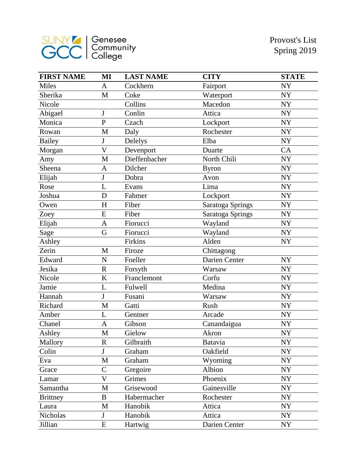

| <b>FIRST NAME</b> | MI                      | <b>LAST NAME</b> | <b>CITY</b>      | <b>STATE</b> |
|-------------------|-------------------------|------------------|------------------|--------------|
| <b>Miles</b>      | $\mathbf{A}$            | Cockhern         | Fairport         | <b>NY</b>    |
| Sherika           | M                       | Coke             | Waterport        | <b>NY</b>    |
| Nicole            |                         | Collins          | Macedon          | <b>NY</b>    |
| Abigael           | $\bf J$                 | Conlin           | Attica           | <b>NY</b>    |
| Monica            | $\mathbf{P}$            | Czach            | Lockport         | <b>NY</b>    |
| Rowan             | M                       | Daly             | Rochester        | <b>NY</b>    |
| <b>Bailey</b>     | ${\bf J}$               | Delelys          | Elba             | <b>NY</b>    |
| Morgan            | $\overline{\mathsf{V}}$ | Devenport        | Duarte           | CA           |
| Amy               | M                       | Dieffenbacher    | North Chili      | <b>NY</b>    |
| Sheena            | A                       | Dilcher          | <b>Byron</b>     | NY           |
| Elijah            | $\mathbf{J}$            | Dobra            | Avon             | <b>NY</b>    |
| Rose              | L                       | Evans            | Lima             | NY           |
| Joshua            | D                       | Fahmer           | Lockport         | <b>NY</b>    |
| Owen              | H                       | Fiber            | Saratoga Springs | NY           |
| Zoey              | E                       | Fiber            | Saratoga Springs | <b>NY</b>    |
| Elijah            | $\mathbf{A}$            | Fiorucci         | Wayland          | <b>NY</b>    |
| Sage              | G                       | Fiorucci         | Wayland          | <b>NY</b>    |
| Ashley            |                         | Firkins          | Alden            | <b>NY</b>    |
| Zerin             | M                       | Firoze           | Chittagong       |              |
| Edward            | $\mathbf N$             | Foeller          | Darien Center    | NY           |
| Jesika            | $\mathbf R$             | Forsyth          | Warsaw           | NY           |
| Nicole            | K                       | Franclemont      | Corfu            | NY           |
| Jamie             | L                       | Fulwell          | Medina           | <b>NY</b>    |
| Hannah            | $\mathbf{J}$            | Fusani           | Warsaw           | NY           |
| Richard           | M                       | Gatti            | Rush             | ${\rm NY}$   |
| Amber             | L                       | Gentner          | Arcade           | NY           |
| Chanel            | A                       | Gibson           | Canandaigua      | ${\rm NY}$   |
| Ashley            | M                       | Gielow           | Akron            | NY           |
| Mallory           | $\mathbf R$             | Gilbraith        | <b>Batavia</b>   | NY           |
| Colin             | ${\bf J}$               | Graham           | Oakfield         | NY           |
| Eva               | M                       | Graham           | Wyoming          | NY           |
| Grace             | $\overline{C}$          | Gregoire         | Albion           | NY           |
| Lamar             | $\mathbf V$             | Grimes           | Phoenix          | NY           |
| Samantha          | M                       | Grisewood        | Gainesville      | NY           |
| <b>Brittney</b>   | B                       | Habermacher      | Rochester        | NY           |
| Laura             | M                       | Hanobik          | Attica           | NY           |
| Nicholas          | $\mathbf J$             | Hanobik          | Attica           | NY           |
| Jillian           | ${\bf E}$               | Hartwig          | Darien Center    | NY           |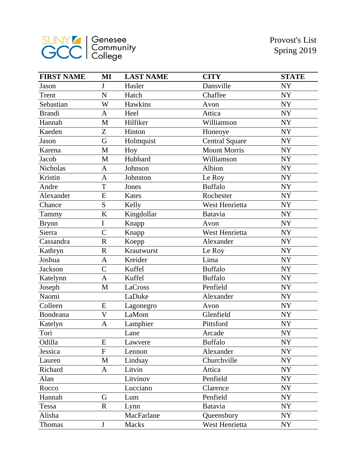

| <b>FIRST NAME</b> | MI                      | <b>LAST NAME</b> | <b>CITY</b>           | <b>STATE</b> |
|-------------------|-------------------------|------------------|-----------------------|--------------|
| Jason             | J                       | Hasler           | Dansville             | <b>NY</b>    |
| Trent             | N                       | Hatch            | Chaffee               | <b>NY</b>    |
| Sebastian         | W                       | Hawkins          | Avon                  | <b>NY</b>    |
| <b>Brandi</b>     | A                       | Heel             | Attica                | <b>NY</b>    |
| Hannah            | M                       | Hilfiker         | Williamson            | <b>NY</b>    |
| Kaeden            | Z                       | Hinton           | Honeoye               | <b>NY</b>    |
| Jason             | G                       | Holmquist        | <b>Central Square</b> | <b>NY</b>    |
| Karena            | M                       | Hoy              | <b>Mount Morris</b>   | <b>NY</b>    |
| Jacob             | M                       | Hubbard          | Williamson            | <b>NY</b>    |
| Nicholas          | A                       | Johnson          | Albion                | <b>NY</b>    |
| Kristin           | A                       | Johnston         | Le Roy                | <b>NY</b>    |
| Andre             | T                       | Jones            | <b>Buffalo</b>        | <b>NY</b>    |
| Alexander         | E                       | Kates            | Rochester             | <b>NY</b>    |
| Chance            | S                       | Kelly            | West Henrietta        | <b>NY</b>    |
| Tammy             | K                       | Kingdollar       | Batavia               | <b>NY</b>    |
| <b>Brynn</b>      | I                       | Knapp            | Avon                  | <b>NY</b>    |
| Sierra            | $\overline{C}$          | Knapp            | West Henrietta        | <b>NY</b>    |
| Cassandra         | $\overline{\text{R}}$   | Koepp            | Alexander             | <b>NY</b>    |
| Kathryn           | $\mathbf R$             | Krautwurst       | Le Roy                | <b>NY</b>    |
| Joshua            | A                       | Kreider          | Lima                  | <b>NY</b>    |
| <b>Jackson</b>    | $\overline{C}$          | Kuffel           | <b>Buffalo</b>        | <b>NY</b>    |
| Katelynn          | A                       | Kuffel           | <b>Buffalo</b>        | NY           |
| Joseph            | M                       | LaCross          | Penfield              | <b>NY</b>    |
| Naomi             |                         | LaDuke           | Alexander             | <b>NY</b>    |
| Colleen           | E                       | Lagonegro        | Avon                  | <b>NY</b>    |
| Bondeana          | $\overline{\mathsf{V}}$ | LaMont           | Glenfield             | <b>NY</b>    |
| Katelyn           | A                       | Lamphier         | Pittsford             | ${\rm NY}$   |
| Tori              |                         | Lane             | Arcade                | <b>NY</b>    |
| Odilla            | E                       | Lawvere          | <b>Buffalo</b>        | <b>NY</b>    |
| Jessica           | $\mathbf F$             | Lennon           | Alexander             | NY           |
| Lauren            | $\mathbf M$             | Lindsay          | Churchville           | <b>NY</b>    |
| Richard           | A                       | Litvin           | Attica                | <b>NY</b>    |
| Alan              |                         | Litvinov         | Penfield              | NY           |
| Rocco             |                         | Lucciano         | Clarence              | <b>NY</b>    |
| Hannah            | G                       | Lum              | Penfield              | NY           |
| Tessa             | $\mathbf R$             | Lynn             | Batavia               | <b>NY</b>    |
| Alisha            |                         | MacFarlane       | Queensbury            | NY           |
| Thomas            | $\mathbf J$             | <b>Macks</b>     | West Henrietta        | NY           |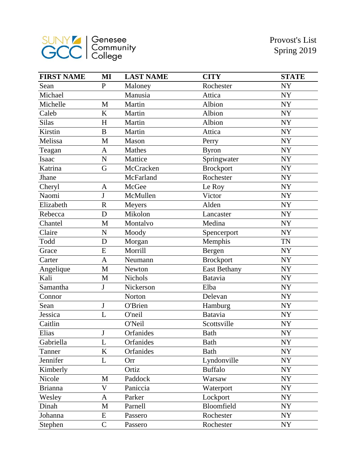

| <b>FIRST NAME</b> | MI           | <b>LAST NAME</b> | <b>CITY</b>         | <b>STATE</b> |
|-------------------|--------------|------------------|---------------------|--------------|
| Sean              | $\mathbf{P}$ | Maloney          | Rochester           | <b>NY</b>    |
| Michael           |              | Manusia          | Attica              | <b>NY</b>    |
| Michelle          | M            | Martin           | Albion              | <b>NY</b>    |
| Caleb             | K            | Martin           | Albion              | NY           |
| <b>Silas</b>      | H            | Martin           | Albion              | <b>NY</b>    |
| Kirstin           | $\bf{B}$     | Martin           | Attica              | NY           |
| Melissa           | M            | Mason            | Perry               | <b>NY</b>    |
| Teagan            | A            | Mathes           | <b>Byron</b>        | <b>NY</b>    |
| Isaac             | ${\bf N}$    | Mattice          | Springwater         | <b>NY</b>    |
| Katrina           | G            | McCracken        | <b>Brockport</b>    | NY           |
| Jhane             |              | McFarland        | Rochester           | NY           |
| Cheryl            | A            | McGee            | Le Roy              | <b>NY</b>    |
| Naomi             | $\mathbf J$  | McMullen         | Victor              | <b>NY</b>    |
| Elizabeth         | $\mathbf R$  | Meyers           | Alden               | NY           |
| Rebecca           | D            | Mikolon          | Lancaster           | <b>NY</b>    |
| Chantel           | M            | Montalvo         | Medina              | <b>NY</b>    |
| Claire            | ${\bf N}$    | Moody            | Spencerport         | <b>NY</b>    |
| Todd              | D            | Morgan           | Memphis             | <b>TN</b>    |
| Grace             | E            | Morrill          | Bergen              | <b>NY</b>    |
| Carter            | $\mathbf{A}$ | Neumann          | <b>Brockport</b>    | <b>NY</b>    |
| Angelique         | M            | Newton           | <b>East Bethany</b> | NY           |
| Kali              | M            | Nichols          | Batavia             | NY           |
| Samantha          | J            | Nickerson        | Elba                | NY           |
| Connor            |              | Norton           | Delevan             | NY           |
| Sean              | J            | O'Brien          | Hamburg             | <b>NY</b>    |
| Jessica           | L            | O'neil           | Batavia             | <b>NY</b>    |
| Caitlin           |              | O'Neil           | Scottsville         | ${\rm NY}$   |
| Elias             | $\bf J$      | Orfanides        | <b>Bath</b>         | NY           |
| Gabriella         | L            | Orfanides        | <b>Bath</b>         | NY           |
| Tanner            | $\bf K$      | Orfanides        | Bath                | <b>NY</b>    |
| Jennifer          | L            | Orr              | Lyndonville         | NY           |
| Kimberly          |              | Ortiz            | <b>Buffalo</b>      | NY           |
| Nicole            | M            | Paddock          | Warsaw              | NY           |
| <b>Brianna</b>    | V            | Paniccia         | Waterport           | NY           |
| Wesley            | A            | Parker           | Lockport            | NY           |
| Dinah             | M            | Parnell          | Bloomfield          | NY           |
| Johanna           | E            | Passero          | Rochester           | NY           |
| Stephen           | $\mathsf{C}$ | Passero          | Rochester           | NY           |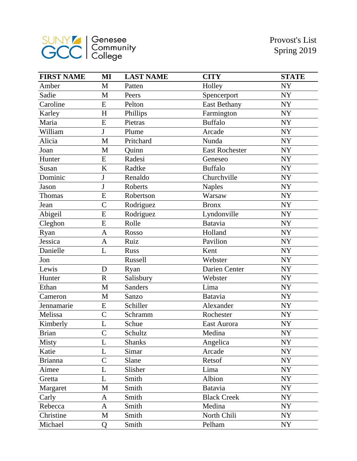

| <b>FIRST NAME</b> | MI             | <b>LAST NAME</b> | <b>CITY</b>           | <b>STATE</b> |
|-------------------|----------------|------------------|-----------------------|--------------|
| Amber             | M              | Patten           | Holley                | <b>NY</b>    |
| Sadie             | M              | Peers            | Spencerport           | NY           |
| Caroline          | E              | Pelton           | <b>East Bethany</b>   | <b>NY</b>    |
| Karley            | H              | Phillips         | Farmington            | <b>NY</b>    |
| Maria             | ${\bf E}$      | Pietras          | <b>Buffalo</b>        | <b>NY</b>    |
| William           | J              | Plume            | Arcade                | NY           |
| Alicia            | $\mathbf{M}$   | Pritchard        | Nunda                 | <b>NY</b>    |
| Joan              | M              | Quinn            | <b>East Rochester</b> | <b>NY</b>    |
| Hunter            | E              | Radesi           | Geneseo               | <b>NY</b>    |
| Susan             | K              | Radtke           | <b>Buffalo</b>        | <b>NY</b>    |
| Dominic           | J              | Renaldo          | Churchville           | NY           |
| Jason             | J              | Roberts          | <b>Naples</b>         | NY           |
| Thomas            | E              | Robertson        | Warsaw                | <b>NY</b>    |
| Jean              | $\overline{C}$ | Rodriguez        | <b>Bronx</b>          | <b>NY</b>    |
| Abigeil           | E              | Rodriguez        | Lyndonville           | <b>NY</b>    |
| Cleghon           | E              | Rolle            | Batavia               | NY           |
| Ryan              | $\mathbf{A}$   | Rosso            | Holland               | ${\rm NY}$   |
| Jessica           | $\mathbf{A}$   | Ruiz             | Pavilion              | <b>NY</b>    |
| Danielle          | L              | <b>Russ</b>      | Kent                  | ${\rm NY}$   |
| Jon               |                | Russell          | Webster               | <b>NY</b>    |
| Lewis             | D              | Ryan             | Darien Center         | <b>NY</b>    |
| Hunter            | $\mathbf R$    | Salisbury        | Webster               | <b>NY</b>    |
| Ethan             | M              | Sanders          | Lima                  | NY           |
| Cameron           | M              | Sanzo            | <b>Batavia</b>        | NY           |
| Jennamarie        | E              | Schiller         | Alexander             | NY           |
| Melissa           | $\overline{C}$ | Schramm          | Rochester             | <b>NY</b>    |
| Kimberly          | L              | Schue            | East Aurora           | NY           |
| <b>Brian</b>      | $\overline{C}$ | Schultz          | Medina                | NY           |
| Misty             | L              | <b>Shanks</b>    | Angelica              | NY           |
| Katie             | L              | Simar            | Arcade                | NY           |
| <b>Brianna</b>    | $\overline{C}$ | Slane            | Retsof                | <b>NY</b>    |
| Aimee             | L              | Slisher          | Lima                  | NY           |
| Gretta            | L              | Smith            | Albion                | NY           |
| Margaret          | M              | Smith            | Batavia               | <b>NY</b>    |
| Carly             | A              | Smith            | <b>Black Creek</b>    | NY           |
| Rebecca           | A              | Smith            | Medina                | NY           |
| Christine         | M              | Smith            | North Chili           | NY           |
| Michael           | Q              | Smith            | Pelham                | NY           |